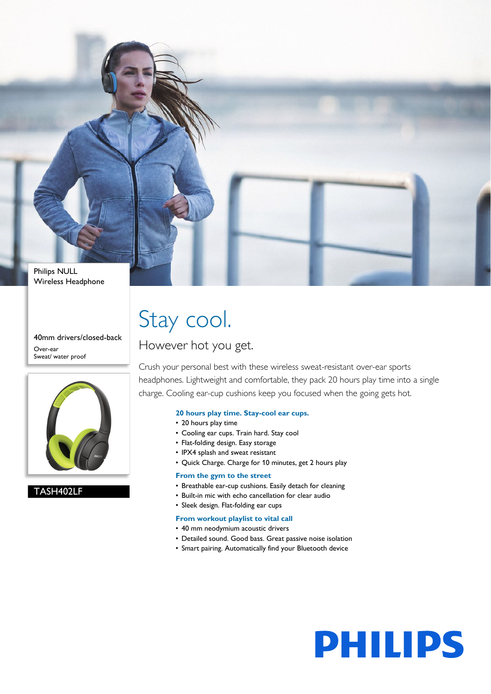

40mm drivers/closed-back Over-ear Sweat/ water proof



### TASH402LF

# Stay cool.

However hot you get.

Crush your personal best with these wireless sweat-resistant over-ear sports headphones. Lightweight and comfortable, they pack 20 hours play time into a single charge. Cooling ear-cup cushions keep you focused when the going gets hot.

### **20 hours play time. Stay-cool ear cups.**

- 20 hours play time
- Cooling ear cups. Train hard. Stay cool
- Flat-folding design. Easy storage
- IPX4 splash and sweat resistant
- Quick Charge. Charge for 10 minutes, get 2 hours play

### **From the gym to the street**

- Breathable ear-cup cushions. Easily detach for cleaning
- Built-in mic with echo cancellation for clear audio
- Sleek design. Flat-folding ear cups

### **From workout playlist to vital call**

- 40 mm neodymium acoustic drivers
- Detailed sound. Good bass. Great passive noise isolation
- Smart pairing. Automatically find your Bluetooth device